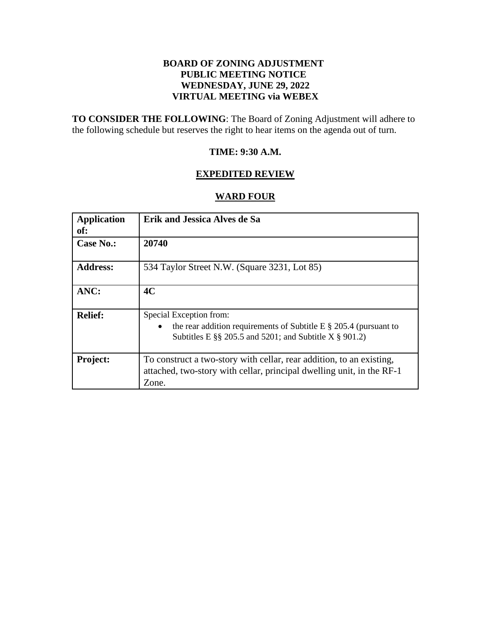# **BOARD OF ZONING ADJUSTMENT PUBLIC MEETING NOTICE WEDNESDAY, JUNE 29, 2022 VIRTUAL MEETING via WEBEX**

**TO CONSIDER THE FOLLOWING**: The Board of Zoning Adjustment will adhere to the following schedule but reserves the right to hear items on the agenda out of turn.

## **TIME: 9:30 A.M.**

# **EXPEDITED REVIEW**

# **WARD FOUR**

| <b>Application</b><br>of: | <b>Erik and Jessica Alves de Sa</b>                                                                                                                            |
|---------------------------|----------------------------------------------------------------------------------------------------------------------------------------------------------------|
| Case No.:                 | 20740                                                                                                                                                          |
| <b>Address:</b>           | 534 Taylor Street N.W. (Square 3231, Lot 85)                                                                                                                   |
| ANC:                      | 4C                                                                                                                                                             |
| <b>Relief:</b>            | Special Exception from:<br>the rear addition requirements of Subtitle E $\S$ 205.4 (pursuant to<br>Subtitles E $\S$ 205.5 and 5201; and Subtitle X $\S$ 901.2) |
| <b>Project:</b>           | To construct a two-story with cellar, rear addition, to an existing,<br>attached, two-story with cellar, principal dwelling unit, in the RF-1<br>Zone.         |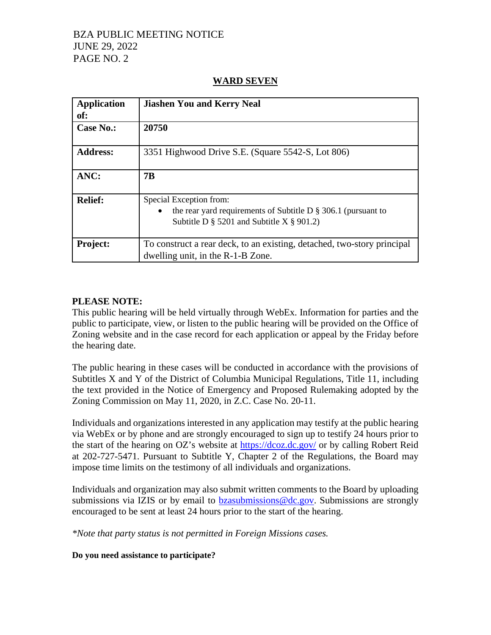# BZA PUBLIC MEETING NOTICE JUNE 29, 2022 PAGE NO. 2

# **Application of: Jiashen You and Kerry Neal Case No.: 20750 Address:** 3351 Highwood Drive S.E. (Square 5542-S, Lot 806) **ANC: 7B Relief:** Special Exception from: the rear yard requirements of Subtitle D  $\S$  306.1 (pursuant to Subtitle D  $\S$  5201 and Subtitle X  $\S$  901.2) **Project:** To construct a rear deck, to an existing, detached, two-story principal dwelling unit, in the R-1-B Zone.

## **WARD SEVEN**

## **PLEASE NOTE:**

This public hearing will be held virtually through WebEx. Information for parties and the public to participate, view, or listen to the public hearing will be provided on the Office of Zoning website and in the case record for each application or appeal by the Friday before the hearing date.

The public hearing in these cases will be conducted in accordance with the provisions of Subtitles X and Y of the District of Columbia Municipal Regulations, Title 11, including the text provided in the Notice of Emergency and Proposed Rulemaking adopted by the Zoning Commission on May 11, 2020, in Z.C. Case No. 20-11.

Individuals and organizations interested in any application may testify at the public hearing via WebEx or by phone and are strongly encouraged to sign up to testify 24 hours prior to the start of the hearing on OZ's website at<https://dcoz.dc.gov/> or by calling Robert Reid at 202-727-5471. Pursuant to Subtitle Y, Chapter 2 of the Regulations, the Board may impose time limits on the testimony of all individuals and organizations.

Individuals and organization may also submit written comments to the Board by uploading submissions via IZIS or by email to [bzasubmissions@dc.gov.](mailto:bzasubmissions@dc.gov) Submissions are strongly encouraged to be sent at least 24 hours prior to the start of the hearing.

*\*Note that party status is not permitted in Foreign Missions cases.*

**Do you need assistance to participate?**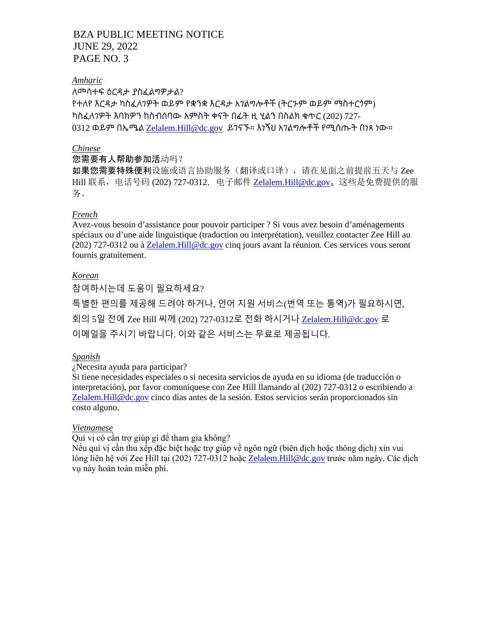# BZA PUBLIC MEETING NOTICE JUNE 29, 2022 PAGE NO. 3

## *Amharic*

ለመሳተፍ ዕርዳታ ያስፈልግዎታል? የተለየ እርዳታ ካስፈለገዎት ወይም የቋንቋ እርዳታ አገልግሎቶች (ትርጉም ወይም ማስተርጎም) ካስፈለገዎት እባክዎን ከስብሰባው አምስት ቀናት በፊት ዚ ሂልን በስልክ ቁጥር (202) 727- 0312 ወይም በኤሜል [Zelalem.Hill@dc.gov](mailto:Zelalem.Hill@dc.gov) ይገናኙ። እነኝህ አገልግሎቶች የሚሰጡት በነጻ ነው።

## *Chinese*

## 您需要有人帮助参加活动吗?

如果您需要特殊便利设施或语言协助服务(翻译或口译),请在见面之前提前五天与 Zee Hill 联系, 电话号码 (202) 727-0312, 电子邮件 [Zelalem.Hill@dc.gov](mailto:Zelalem.Hill@dc.gov)。这些是免费提供的服 务。

## *French*

Avez-vous besoin d'assistance pour pouvoir participer ? Si vous avez besoin d'aménagements spéciaux ou d'une aide linguistique (traduction ou interprétation), veuillez contacter Zee Hill au (202) 727-0312 ou à [Zelalem.Hill@dc.gov](mailto:Zelalem.Hill@dc.gov) cinq jours avant la réunion. Ces services vous seront fournis gratuitement.

## *Korean*

참여하시는데 도움이 필요하세요? 특별한 편의를 제공해 드려야 하거나, 언어 지원 서비스(번역 또는 통역)가 필요하시면, 회의 5일 전에 Zee Hill 씨께 (202) 727-0312로 전화 하시거나 [Zelalem.Hill@dc.gov](mailto:Zelalem.Hill@dc.gov) 로 이메일을 주시기 바랍니다. 이와 같은 서비스는 무료로 제공됩니다.

## *Spanish*

¿Necesita ayuda para participar?

Si tiene necesidades especiales o si necesita servicios de ayuda en su idioma (de traducción o interpretación), por favor comuníquese con Zee Hill llamando al (202) 727-0312 o escribiendo a [Zelalem.Hill@dc.gov](mailto:Zelalem.Hill@dc.gov) cinco días antes de la sesión. Estos servicios serán proporcionados sin costo alguno.

## *Vietnamese*

Quí vị có cần trợ giúp gì để tham gia không?

Nếu quí vị cần thu xếp đặc biệt hoặc trợ giúp về ngôn ngữ (biên dịch hoặc thông dịch) xin vui lòng liên hệ với Zee Hill tại (202) 727-0312 hoặ[c](mailto:Zelalem.Hill@dc.gov) [Zelalem.Hill@dc.gov](mailto:Zelalem.Hill@dc.gov) trước năm ngày. Các dịch vụ này hoàn toàn miễn phí.